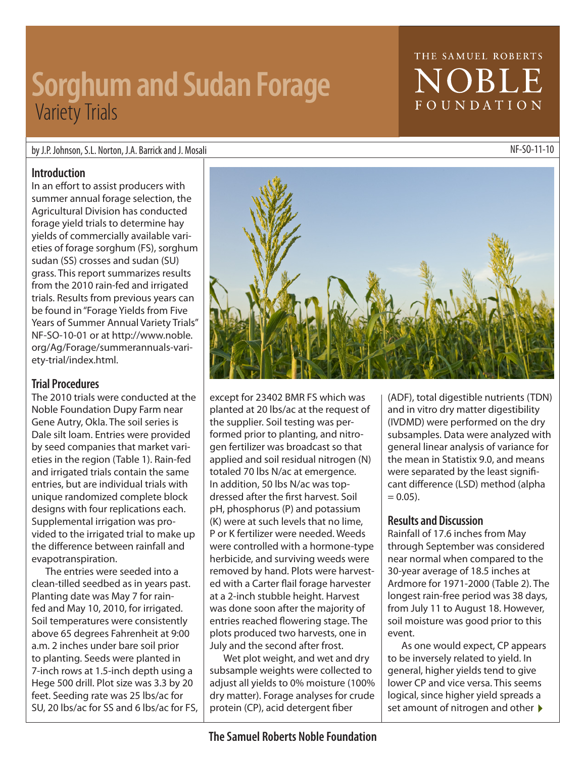except for 23402 BMR FS which was planted at 20 lbs/ac at the request of the supplier. Soil testing was performed prior to planting, and nitrogen fertilizer was broadcast so that applied and soil residual nitrogen (N) totaled 70 lbs N/ac at emergence. In addition, 50 lbs N/ac was topdressed after the first harvest. Soil pH, phosphorus (P) and potassium (K) were at such levels that no lime, P or K fertilizer were needed. Weeds were controlled with a hormone-type herbicide, and surviving weeds were removed by hand. Plots were harvested with a Carter flail forage harvester at a 2-inch stubble height. Harvest was done soon after the majority of entries reached flowering stage. The plots produced two harvests, one in July and the second after frost.

Wet plot weight, and wet and dry subsample weights were collected to adjust all yields to 0% moisture (100% dry matter). Forage analyses for crude protein (CP), acid detergent fiber

(IVDMD) were performed on the dry subsamples. Data were analyzed with general linear analysis of variance for the mean in Statistix 9.0, and means were separated by the least significant difference (LSD) method (alpha  $= 0.05$ ).

### **Results and Discussion**

Rainfall of 17.6 inches from May through September was considered near normal when compared to the 30-year average of 18.5 inches at Ardmore for 1971-2000 (Table 2). The longest rain-free period was 38 days, from July 11 to August 18. However, soil moisture was good prior to this event.

As one would expect, CP appears to be inversely related to yield. In general, higher yields tend to give lower CP and vice versa. This seems logical, since higher yield spreads a set amount of nitrogen and other  $\blacktriangleright$ 

### **The Samuel Roberts Noble Foundation**

by J.P. Johnson, S.L. Norton, J.A. Barrick and J. Mosali New York Cases are a series and the SO-11-10 NF-SO-11-10

### **Introduction**

In an effort to assist producers with summer annual forage selection, the Agricultural Division has conducted forage yield trials to determine hay yields of commercially available varieties of forage sorghum (FS), sorghum sudan (SS) crosses and sudan (SU) grass. This report summarizes results from the 2010 rain-fed and irrigated trials. Results from previous years can be found in "Forage Yields from Five Years of Summer Annual Variety Trials" NF-SO-10-01 or at http://www.noble. org/Ag/Forage/summerannuals-variety-trial/index.html.

### **Trial Procedures**

The 2010 trials were conducted at the Noble Foundation Dupy Farm near Gene Autry, Okla. The soil series is Dale silt loam. Entries were provided by seed companies that market varieties in the region (Table 1). Rain-fed and irrigated trials contain the same entries, but are individual trials with unique randomized complete block designs with four replications each. Supplemental irrigation was provided to the irrigated trial to make up the difference between rainfall and evapotranspiration.

The entries were seeded into a clean-tilled seedbed as in years past. Planting date was May 7 for rainfed and May 10, 2010, for irrigated. Soil temperatures were consistently above 65 degrees Fahrenheit at 9:00 a.m. 2 inches under bare soil prior to planting. Seeds were planted in 7-inch rows at 1.5-inch depth using a Hege 500 drill. Plot size was 3.3 by 20 feet. Seeding rate was 25 lbs/ac for SU, 20 lbs/ac for SS and 6 lbs/ac for FS,

# **NOBLE** FOUNDATION

THE SAMUEL ROBERTS



# **Sorghum and Sudan Forage Variety Trials**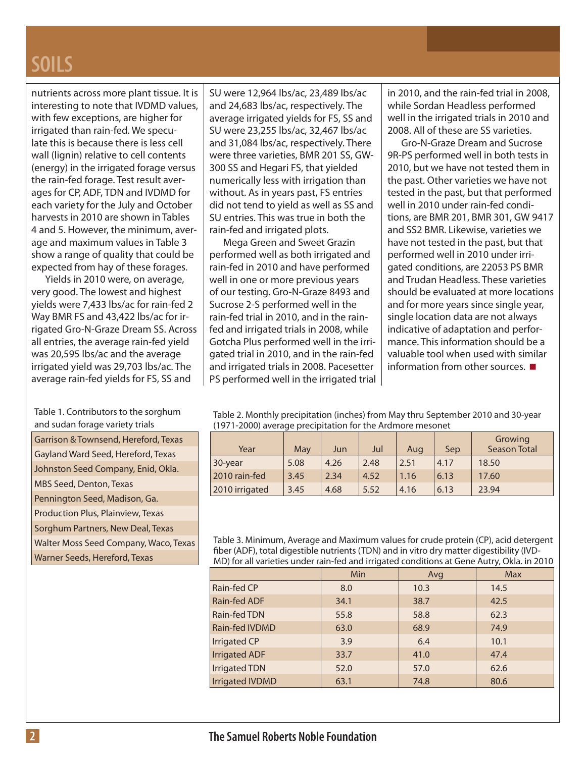### **SOILS**

nutrients across more plant tissue. It is interesting to note that IVDMD values, with few exceptions, are higher for irrigated than rain-fed. We speculate this is because there is less cell wall (lignin) relative to cell contents (energy) in the irrigated forage versus the rain-fed forage. Test result averages for CP, ADF, TDN and IVDMD for each variety for the July and October harvests in 2010 are shown in Tables 4 and 5. However, the minimum, average and maximum values in Table 3 show a range of quality that could be expected from hay of these forages.

Yields in 2010 were, on average, very good. The lowest and highest yields were 7,433 lbs/ac for rain-fed 2 Way BMR FS and 43,422 lbs/ac for irrigated Gro-N-Graze Dream SS. Across all entries, the average rain-fed yield was 20,595 lbs/ac and the average irrigated yield was 29,703 lbs/ac. The average rain-fed yields for FS, SS and

Table 1. Contributors to the sorghum and sudan forage variety trials

| Garrison & Townsend, Hereford, Texas     |
|------------------------------------------|
| Gayland Ward Seed, Hereford, Texas       |
| Johnston Seed Company, Enid, Okla.       |
| <b>MBS Seed, Denton, Texas</b>           |
| Pennington Seed, Madison, Ga.            |
| <b>Production Plus, Plainview, Texas</b> |
| Sorghum Partners, New Deal, Texas        |
| Walter Moss Seed Company, Waco, Texas    |
| Warner Seeds, Hereford, Texas            |
|                                          |

SU were 12,964 lbs/ac, 23,489 lbs/ac and 24,683 lbs/ac, respectively. The average irrigated yields for FS, SS and SU were 23,255 lbs/ac, 32,467 lbs/ac and 31,084 lbs/ac, respectively. There were three varieties, BMR 201 SS, GW-300 SS and Hegari FS, that yielded numerically less with irrigation than without. As in years past, FS entries did not tend to yield as well as SS and SU entries. This was true in both the rain-fed and irrigated plots.

Mega Green and Sweet Grazin performed well as both irrigated and rain-fed in 2010 and have performed well in one or more previous years of our testing. Gro-N-Graze 8493 and Sucrose 2-S performed well in the rain-fed trial in 2010, and in the rainfed and irrigated trials in 2008, while Gotcha Plus performed well in the irrigated trial in 2010, and in the rain-fed and irrigated trials in 2008. Pacesetter PS performed well in the irrigated trial in 2010, and the rain-fed trial in 2008, while Sordan Headless performed well in the irrigated trials in 2010 and 2008. All of these are SS varieties.

Gro-N-Graze Dream and Sucrose 9R-PS performed well in both tests in 2010, but we have not tested them in the past. Other varieties we have not tested in the past, but that performed well in 2010 under rain-fed conditions, are BMR 201, BMR 301, GW 9417 and SS2 BMR. Likewise, varieties we have not tested in the past, but that performed well in 2010 under irrigated conditions, are 22053 PS BMR and Trudan Headless. These varieties should be evaluated at more locations and for more years since single year, single location data are not always indicative of adaptation and performance. This information should be a valuable tool when used with similar information from other sources.  $\blacksquare$ 

Table 2. Monthly precipitation (inches) from May thru September 2010 and 30-year (1971-2000) average precipitation for the Ardmore mesonet

| Year           | May  | Jun  | Jul  | Aug  | Sep  | Growing<br><b>Season Total</b> |
|----------------|------|------|------|------|------|--------------------------------|
| 30-year        | 5.08 | 4.26 | 2.48 | 2.51 | 4.17 | 18.50                          |
| 2010 rain-fed  | 3.45 | 2.34 | 4.52 | 1.16 | 6.13 | 17.60                          |
| 2010 irrigated | 3.45 | 4.68 | 5.52 | 4.16 | 6.13 | 23.94                          |

Table 3. Minimum, Average and Maximum values for crude protein (CP), acid detergent fiber (ADF), total digestible nutrients (TDN) and in vitro dry matter digestibility (IVD-MD) for all varieties under rain-fed and irrigated conditions at Gene Autry, Okla. in 2010

|                        | <b>Min</b> | Avg  | <b>Max</b> |
|------------------------|------------|------|------------|
| Rain-fed CP            | 8.0        | 10.3 | 14.5       |
| Rain-fed ADF           | 34.1       | 38.7 | 42.5       |
| Rain-fed TDN           | 55.8       | 58.8 | 62.3       |
| Rain-fed IVDMD         | 63.0       | 68.9 | 74.9       |
| <b>Irrigated CP</b>    | 3.9        | 6.4  | 10.1       |
| <b>Irrigated ADF</b>   | 33.7       | 41.0 | 47.4       |
| <b>Irrigated TDN</b>   | 52.0       | 57.0 | 62.6       |
| <b>Irrigated IVDMD</b> | 63.1       | 74.8 | 80.6       |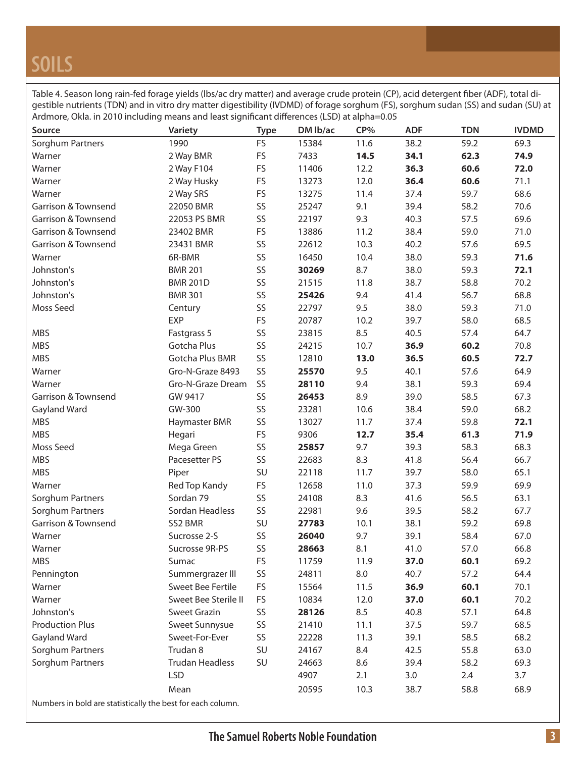# **SOILS**

Table 4. Season long rain-fed forage yields (lbs/ac dry matter) and average crude protein (CP), acid detergent fiber (ADF), total digestible nutrients (TDN) and in vitro dry matter digestibility (IVDMD) of forage sorghum (FS), sorghum sudan (SS) and sudan (SU) at Ardmore, Okla. in 2010 including means and least significant differences (LSD) at alpha=0.05

| 1990<br>FS<br>15384<br>59.2<br>69.3<br>Sorghum Partners<br>11.6<br>38.2<br>FS<br>7433<br>14.5<br>74.9<br>2 Way BMR<br>34.1<br>62.3<br>Warner<br>FS<br>Warner<br>2 Way F104<br>11406<br>12.2<br>36.3<br>60.6<br>72.0<br>FS<br>2 Way Husky<br>12.0<br>36.4<br>60.6<br>71.1<br>Warner<br>13273<br>FS<br>68.6<br>2 Way SRS<br>13275<br>11.4<br>37.4<br>59.7<br>Warner<br>SS<br>70.6<br><b>Garrison &amp; Townsend</b><br>22050 BMR<br>25247<br>9.1<br>39.4<br>58.2<br>SS<br>9.3<br>40.3<br>69.6<br>Garrison & Townsend<br>22053 PS BMR<br>22197<br>57.5<br>FS<br>71.0<br>Garrison & Townsend<br>23402 BMR<br>13886<br>11.2<br>38.4<br>59.0<br>SS<br>69.5<br>Garrison & Townsend<br>23431 BMR<br>22612<br>10.3<br>40.2<br>57.6<br>SS<br>6R-BMR<br>16450<br>10.4<br>38.0<br>59.3<br>71.6<br>Warner<br>SS<br>8.7<br>Johnston's<br><b>BMR 201</b><br>30269<br>38.0<br>59.3<br>72.1<br>SS<br>70.2<br>Johnston's<br><b>BMR 201D</b><br>21515<br>11.8<br>38.7<br>58.8<br>SS<br>68.8<br>Johnston's<br><b>BMR 301</b><br>25426<br>9.4<br>41.4<br>56.7<br>SS<br>Moss Seed<br>9.5<br>59.3<br>71.0<br>22797<br>38.0<br>Century<br>FS<br><b>EXP</b><br>20787<br>10.2<br>39.7<br>58.0<br>68.5<br>SS<br>8.5<br>64.7<br><b>MBS</b><br>23815<br>40.5<br>57.4<br>Fastgrass 5<br>SS<br>Gotcha Plus<br>60.2<br>70.8<br><b>MBS</b><br>24215<br>10.7<br>36.9<br>Gotcha Plus BMR<br>SS<br>72.7<br><b>MBS</b><br>12810<br>13.0<br>36.5<br>60.5<br>Gro-N-Graze 8493<br>SS<br>64.9<br>Warner<br>25570<br>9.5<br>40.1<br>57.6<br>SS<br>69.4<br>Warner<br>Gro-N-Graze Dream<br>28110<br>9.4<br>38.1<br>59.3<br>SS<br>8.9<br>67.3<br><b>Garrison &amp; Townsend</b><br>GW 9417<br>26453<br>39.0<br>58.5<br>SS<br>68.2<br>Gayland Ward<br>GW-300<br>23281<br>10.6<br>38.4<br>59.0<br>SS<br>72.1<br><b>MBS</b><br>13027<br>11.7<br>37.4<br>59.8<br>Haymaster BMR<br><b>MBS</b><br>FS<br>9306<br>71.9<br>Hegari<br>12.7<br>35.4<br>61.3<br>SS<br>9.7<br>58.3<br>68.3<br>Moss Seed<br>Mega Green<br>25857<br>39.3<br>SS<br>8.3<br>66.7<br><b>MBS</b><br>Pacesetter PS<br>22683<br>41.8<br>56.4<br><b>MBS</b><br>SU<br>65.1<br>22118<br>11.7<br>39.7<br>58.0<br>Piper<br>69.9<br>Warner<br>Red Top Kandy<br><b>FS</b><br>12658<br>11.0<br>37.3<br>59.9<br>Sordan 79<br>SS<br>63.1<br>Sorghum Partners<br>24108<br>8.3<br>56.5<br>41.6<br>SS<br>67.7<br>Sorghum Partners<br>Sordan Headless<br>22981<br>9.6<br>39.5<br>58.2<br>Garrison & Townsend<br>SS2 BMR<br>SU<br>69.8<br>27783<br>10.1<br>38.1<br>59.2<br>SS<br>58.4<br>67.0<br>Warner<br>Sucrosse 2-S<br>26040<br>9.7<br>39.1<br>SS<br>28663<br>8.1<br>41.0<br>57.0<br>66.8<br>Sucrosse 9R-PS<br>Warner<br><b>MBS</b><br>FS<br>11.9<br>60.1<br>69.2<br>Sumac<br>11759<br>37.0<br>8.0<br>Summergrazer III<br>SS<br>64.4<br>Pennington<br>24811<br>40.7<br>57.2<br>FS<br>70.1<br>Warner<br>Sweet Bee Fertile<br>15564<br>11.5<br>36.9<br>60.1<br>Sweet Bee Sterile II<br>FS<br>12.0<br>37.0<br>70.2<br>Warner<br>10834<br>60.1<br>SS<br>8.5<br>64.8<br>Johnston's<br><b>Sweet Grazin</b><br>28126<br>40.8<br>57.1<br><b>Production Plus</b><br>SS<br>68.5<br>Sweet Sunnysue<br>21410<br>11.1<br>37.5<br>59.7<br>SS<br>68.2<br>Gayland Ward<br>Sweet-For-Ever<br>22228<br>11.3<br>39.1<br>58.5<br>Trudan 8<br>SU<br>Sorghum Partners<br>8.4<br>55.8<br>63.0<br>24167<br>42.5<br>Sorghum Partners<br>SU<br><b>Trudan Headless</b><br>24663<br>8.6<br>39.4<br>58.2<br>69.3<br><b>LSD</b><br>4907<br>2.1<br>3.0<br>3.7<br>2.4<br>68.9<br>Mean<br>20595<br>10.3<br>38.7<br>58.8 | Source | Variety | <b>Type</b> | DM lb/ac | CP% | <b>ADF</b> | <b>TDN</b> | <b>IVDMD</b> |
|------------------------------------------------------------------------------------------------------------------------------------------------------------------------------------------------------------------------------------------------------------------------------------------------------------------------------------------------------------------------------------------------------------------------------------------------------------------------------------------------------------------------------------------------------------------------------------------------------------------------------------------------------------------------------------------------------------------------------------------------------------------------------------------------------------------------------------------------------------------------------------------------------------------------------------------------------------------------------------------------------------------------------------------------------------------------------------------------------------------------------------------------------------------------------------------------------------------------------------------------------------------------------------------------------------------------------------------------------------------------------------------------------------------------------------------------------------------------------------------------------------------------------------------------------------------------------------------------------------------------------------------------------------------------------------------------------------------------------------------------------------------------------------------------------------------------------------------------------------------------------------------------------------------------------------------------------------------------------------------------------------------------------------------------------------------------------------------------------------------------------------------------------------------------------------------------------------------------------------------------------------------------------------------------------------------------------------------------------------------------------------------------------------------------------------------------------------------------------------------------------------------------------------------------------------------------------------------------------------------------------------------------------------------------------------------------------------------------------------------------------------------------------------------------------------------------------------------------------------------------------------------------------------------------------------------------------------------------------------------------------------------------------------------------------------------------------------------------------------------------------------------------------------------------------------------------------------------------------------------------------------------------------------------------------------------------------------------------------------------------------------------------------------------------------------------------------------------------------------------|--------|---------|-------------|----------|-----|------------|------------|--------------|
|                                                                                                                                                                                                                                                                                                                                                                                                                                                                                                                                                                                                                                                                                                                                                                                                                                                                                                                                                                                                                                                                                                                                                                                                                                                                                                                                                                                                                                                                                                                                                                                                                                                                                                                                                                                                                                                                                                                                                                                                                                                                                                                                                                                                                                                                                                                                                                                                                                                                                                                                                                                                                                                                                                                                                                                                                                                                                                                                                                                                                                                                                                                                                                                                                                                                                                                                                                                                                                                                                          |        |         |             |          |     |            |            |              |
|                                                                                                                                                                                                                                                                                                                                                                                                                                                                                                                                                                                                                                                                                                                                                                                                                                                                                                                                                                                                                                                                                                                                                                                                                                                                                                                                                                                                                                                                                                                                                                                                                                                                                                                                                                                                                                                                                                                                                                                                                                                                                                                                                                                                                                                                                                                                                                                                                                                                                                                                                                                                                                                                                                                                                                                                                                                                                                                                                                                                                                                                                                                                                                                                                                                                                                                                                                                                                                                                                          |        |         |             |          |     |            |            |              |
|                                                                                                                                                                                                                                                                                                                                                                                                                                                                                                                                                                                                                                                                                                                                                                                                                                                                                                                                                                                                                                                                                                                                                                                                                                                                                                                                                                                                                                                                                                                                                                                                                                                                                                                                                                                                                                                                                                                                                                                                                                                                                                                                                                                                                                                                                                                                                                                                                                                                                                                                                                                                                                                                                                                                                                                                                                                                                                                                                                                                                                                                                                                                                                                                                                                                                                                                                                                                                                                                                          |        |         |             |          |     |            |            |              |
|                                                                                                                                                                                                                                                                                                                                                                                                                                                                                                                                                                                                                                                                                                                                                                                                                                                                                                                                                                                                                                                                                                                                                                                                                                                                                                                                                                                                                                                                                                                                                                                                                                                                                                                                                                                                                                                                                                                                                                                                                                                                                                                                                                                                                                                                                                                                                                                                                                                                                                                                                                                                                                                                                                                                                                                                                                                                                                                                                                                                                                                                                                                                                                                                                                                                                                                                                                                                                                                                                          |        |         |             |          |     |            |            |              |
|                                                                                                                                                                                                                                                                                                                                                                                                                                                                                                                                                                                                                                                                                                                                                                                                                                                                                                                                                                                                                                                                                                                                                                                                                                                                                                                                                                                                                                                                                                                                                                                                                                                                                                                                                                                                                                                                                                                                                                                                                                                                                                                                                                                                                                                                                                                                                                                                                                                                                                                                                                                                                                                                                                                                                                                                                                                                                                                                                                                                                                                                                                                                                                                                                                                                                                                                                                                                                                                                                          |        |         |             |          |     |            |            |              |
|                                                                                                                                                                                                                                                                                                                                                                                                                                                                                                                                                                                                                                                                                                                                                                                                                                                                                                                                                                                                                                                                                                                                                                                                                                                                                                                                                                                                                                                                                                                                                                                                                                                                                                                                                                                                                                                                                                                                                                                                                                                                                                                                                                                                                                                                                                                                                                                                                                                                                                                                                                                                                                                                                                                                                                                                                                                                                                                                                                                                                                                                                                                                                                                                                                                                                                                                                                                                                                                                                          |        |         |             |          |     |            |            |              |
|                                                                                                                                                                                                                                                                                                                                                                                                                                                                                                                                                                                                                                                                                                                                                                                                                                                                                                                                                                                                                                                                                                                                                                                                                                                                                                                                                                                                                                                                                                                                                                                                                                                                                                                                                                                                                                                                                                                                                                                                                                                                                                                                                                                                                                                                                                                                                                                                                                                                                                                                                                                                                                                                                                                                                                                                                                                                                                                                                                                                                                                                                                                                                                                                                                                                                                                                                                                                                                                                                          |        |         |             |          |     |            |            |              |
|                                                                                                                                                                                                                                                                                                                                                                                                                                                                                                                                                                                                                                                                                                                                                                                                                                                                                                                                                                                                                                                                                                                                                                                                                                                                                                                                                                                                                                                                                                                                                                                                                                                                                                                                                                                                                                                                                                                                                                                                                                                                                                                                                                                                                                                                                                                                                                                                                                                                                                                                                                                                                                                                                                                                                                                                                                                                                                                                                                                                                                                                                                                                                                                                                                                                                                                                                                                                                                                                                          |        |         |             |          |     |            |            |              |
|                                                                                                                                                                                                                                                                                                                                                                                                                                                                                                                                                                                                                                                                                                                                                                                                                                                                                                                                                                                                                                                                                                                                                                                                                                                                                                                                                                                                                                                                                                                                                                                                                                                                                                                                                                                                                                                                                                                                                                                                                                                                                                                                                                                                                                                                                                                                                                                                                                                                                                                                                                                                                                                                                                                                                                                                                                                                                                                                                                                                                                                                                                                                                                                                                                                                                                                                                                                                                                                                                          |        |         |             |          |     |            |            |              |
|                                                                                                                                                                                                                                                                                                                                                                                                                                                                                                                                                                                                                                                                                                                                                                                                                                                                                                                                                                                                                                                                                                                                                                                                                                                                                                                                                                                                                                                                                                                                                                                                                                                                                                                                                                                                                                                                                                                                                                                                                                                                                                                                                                                                                                                                                                                                                                                                                                                                                                                                                                                                                                                                                                                                                                                                                                                                                                                                                                                                                                                                                                                                                                                                                                                                                                                                                                                                                                                                                          |        |         |             |          |     |            |            |              |
|                                                                                                                                                                                                                                                                                                                                                                                                                                                                                                                                                                                                                                                                                                                                                                                                                                                                                                                                                                                                                                                                                                                                                                                                                                                                                                                                                                                                                                                                                                                                                                                                                                                                                                                                                                                                                                                                                                                                                                                                                                                                                                                                                                                                                                                                                                                                                                                                                                                                                                                                                                                                                                                                                                                                                                                                                                                                                                                                                                                                                                                                                                                                                                                                                                                                                                                                                                                                                                                                                          |        |         |             |          |     |            |            |              |
|                                                                                                                                                                                                                                                                                                                                                                                                                                                                                                                                                                                                                                                                                                                                                                                                                                                                                                                                                                                                                                                                                                                                                                                                                                                                                                                                                                                                                                                                                                                                                                                                                                                                                                                                                                                                                                                                                                                                                                                                                                                                                                                                                                                                                                                                                                                                                                                                                                                                                                                                                                                                                                                                                                                                                                                                                                                                                                                                                                                                                                                                                                                                                                                                                                                                                                                                                                                                                                                                                          |        |         |             |          |     |            |            |              |
|                                                                                                                                                                                                                                                                                                                                                                                                                                                                                                                                                                                                                                                                                                                                                                                                                                                                                                                                                                                                                                                                                                                                                                                                                                                                                                                                                                                                                                                                                                                                                                                                                                                                                                                                                                                                                                                                                                                                                                                                                                                                                                                                                                                                                                                                                                                                                                                                                                                                                                                                                                                                                                                                                                                                                                                                                                                                                                                                                                                                                                                                                                                                                                                                                                                                                                                                                                                                                                                                                          |        |         |             |          |     |            |            |              |
|                                                                                                                                                                                                                                                                                                                                                                                                                                                                                                                                                                                                                                                                                                                                                                                                                                                                                                                                                                                                                                                                                                                                                                                                                                                                                                                                                                                                                                                                                                                                                                                                                                                                                                                                                                                                                                                                                                                                                                                                                                                                                                                                                                                                                                                                                                                                                                                                                                                                                                                                                                                                                                                                                                                                                                                                                                                                                                                                                                                                                                                                                                                                                                                                                                                                                                                                                                                                                                                                                          |        |         |             |          |     |            |            |              |
|                                                                                                                                                                                                                                                                                                                                                                                                                                                                                                                                                                                                                                                                                                                                                                                                                                                                                                                                                                                                                                                                                                                                                                                                                                                                                                                                                                                                                                                                                                                                                                                                                                                                                                                                                                                                                                                                                                                                                                                                                                                                                                                                                                                                                                                                                                                                                                                                                                                                                                                                                                                                                                                                                                                                                                                                                                                                                                                                                                                                                                                                                                                                                                                                                                                                                                                                                                                                                                                                                          |        |         |             |          |     |            |            |              |
|                                                                                                                                                                                                                                                                                                                                                                                                                                                                                                                                                                                                                                                                                                                                                                                                                                                                                                                                                                                                                                                                                                                                                                                                                                                                                                                                                                                                                                                                                                                                                                                                                                                                                                                                                                                                                                                                                                                                                                                                                                                                                                                                                                                                                                                                                                                                                                                                                                                                                                                                                                                                                                                                                                                                                                                                                                                                                                                                                                                                                                                                                                                                                                                                                                                                                                                                                                                                                                                                                          |        |         |             |          |     |            |            |              |
|                                                                                                                                                                                                                                                                                                                                                                                                                                                                                                                                                                                                                                                                                                                                                                                                                                                                                                                                                                                                                                                                                                                                                                                                                                                                                                                                                                                                                                                                                                                                                                                                                                                                                                                                                                                                                                                                                                                                                                                                                                                                                                                                                                                                                                                                                                                                                                                                                                                                                                                                                                                                                                                                                                                                                                                                                                                                                                                                                                                                                                                                                                                                                                                                                                                                                                                                                                                                                                                                                          |        |         |             |          |     |            |            |              |
|                                                                                                                                                                                                                                                                                                                                                                                                                                                                                                                                                                                                                                                                                                                                                                                                                                                                                                                                                                                                                                                                                                                                                                                                                                                                                                                                                                                                                                                                                                                                                                                                                                                                                                                                                                                                                                                                                                                                                                                                                                                                                                                                                                                                                                                                                                                                                                                                                                                                                                                                                                                                                                                                                                                                                                                                                                                                                                                                                                                                                                                                                                                                                                                                                                                                                                                                                                                                                                                                                          |        |         |             |          |     |            |            |              |
|                                                                                                                                                                                                                                                                                                                                                                                                                                                                                                                                                                                                                                                                                                                                                                                                                                                                                                                                                                                                                                                                                                                                                                                                                                                                                                                                                                                                                                                                                                                                                                                                                                                                                                                                                                                                                                                                                                                                                                                                                                                                                                                                                                                                                                                                                                                                                                                                                                                                                                                                                                                                                                                                                                                                                                                                                                                                                                                                                                                                                                                                                                                                                                                                                                                                                                                                                                                                                                                                                          |        |         |             |          |     |            |            |              |
|                                                                                                                                                                                                                                                                                                                                                                                                                                                                                                                                                                                                                                                                                                                                                                                                                                                                                                                                                                                                                                                                                                                                                                                                                                                                                                                                                                                                                                                                                                                                                                                                                                                                                                                                                                                                                                                                                                                                                                                                                                                                                                                                                                                                                                                                                                                                                                                                                                                                                                                                                                                                                                                                                                                                                                                                                                                                                                                                                                                                                                                                                                                                                                                                                                                                                                                                                                                                                                                                                          |        |         |             |          |     |            |            |              |
|                                                                                                                                                                                                                                                                                                                                                                                                                                                                                                                                                                                                                                                                                                                                                                                                                                                                                                                                                                                                                                                                                                                                                                                                                                                                                                                                                                                                                                                                                                                                                                                                                                                                                                                                                                                                                                                                                                                                                                                                                                                                                                                                                                                                                                                                                                                                                                                                                                                                                                                                                                                                                                                                                                                                                                                                                                                                                                                                                                                                                                                                                                                                                                                                                                                                                                                                                                                                                                                                                          |        |         |             |          |     |            |            |              |
|                                                                                                                                                                                                                                                                                                                                                                                                                                                                                                                                                                                                                                                                                                                                                                                                                                                                                                                                                                                                                                                                                                                                                                                                                                                                                                                                                                                                                                                                                                                                                                                                                                                                                                                                                                                                                                                                                                                                                                                                                                                                                                                                                                                                                                                                                                                                                                                                                                                                                                                                                                                                                                                                                                                                                                                                                                                                                                                                                                                                                                                                                                                                                                                                                                                                                                                                                                                                                                                                                          |        |         |             |          |     |            |            |              |
|                                                                                                                                                                                                                                                                                                                                                                                                                                                                                                                                                                                                                                                                                                                                                                                                                                                                                                                                                                                                                                                                                                                                                                                                                                                                                                                                                                                                                                                                                                                                                                                                                                                                                                                                                                                                                                                                                                                                                                                                                                                                                                                                                                                                                                                                                                                                                                                                                                                                                                                                                                                                                                                                                                                                                                                                                                                                                                                                                                                                                                                                                                                                                                                                                                                                                                                                                                                                                                                                                          |        |         |             |          |     |            |            |              |
|                                                                                                                                                                                                                                                                                                                                                                                                                                                                                                                                                                                                                                                                                                                                                                                                                                                                                                                                                                                                                                                                                                                                                                                                                                                                                                                                                                                                                                                                                                                                                                                                                                                                                                                                                                                                                                                                                                                                                                                                                                                                                                                                                                                                                                                                                                                                                                                                                                                                                                                                                                                                                                                                                                                                                                                                                                                                                                                                                                                                                                                                                                                                                                                                                                                                                                                                                                                                                                                                                          |        |         |             |          |     |            |            |              |
|                                                                                                                                                                                                                                                                                                                                                                                                                                                                                                                                                                                                                                                                                                                                                                                                                                                                                                                                                                                                                                                                                                                                                                                                                                                                                                                                                                                                                                                                                                                                                                                                                                                                                                                                                                                                                                                                                                                                                                                                                                                                                                                                                                                                                                                                                                                                                                                                                                                                                                                                                                                                                                                                                                                                                                                                                                                                                                                                                                                                                                                                                                                                                                                                                                                                                                                                                                                                                                                                                          |        |         |             |          |     |            |            |              |
|                                                                                                                                                                                                                                                                                                                                                                                                                                                                                                                                                                                                                                                                                                                                                                                                                                                                                                                                                                                                                                                                                                                                                                                                                                                                                                                                                                                                                                                                                                                                                                                                                                                                                                                                                                                                                                                                                                                                                                                                                                                                                                                                                                                                                                                                                                                                                                                                                                                                                                                                                                                                                                                                                                                                                                                                                                                                                                                                                                                                                                                                                                                                                                                                                                                                                                                                                                                                                                                                                          |        |         |             |          |     |            |            |              |
|                                                                                                                                                                                                                                                                                                                                                                                                                                                                                                                                                                                                                                                                                                                                                                                                                                                                                                                                                                                                                                                                                                                                                                                                                                                                                                                                                                                                                                                                                                                                                                                                                                                                                                                                                                                                                                                                                                                                                                                                                                                                                                                                                                                                                                                                                                                                                                                                                                                                                                                                                                                                                                                                                                                                                                                                                                                                                                                                                                                                                                                                                                                                                                                                                                                                                                                                                                                                                                                                                          |        |         |             |          |     |            |            |              |
|                                                                                                                                                                                                                                                                                                                                                                                                                                                                                                                                                                                                                                                                                                                                                                                                                                                                                                                                                                                                                                                                                                                                                                                                                                                                                                                                                                                                                                                                                                                                                                                                                                                                                                                                                                                                                                                                                                                                                                                                                                                                                                                                                                                                                                                                                                                                                                                                                                                                                                                                                                                                                                                                                                                                                                                                                                                                                                                                                                                                                                                                                                                                                                                                                                                                                                                                                                                                                                                                                          |        |         |             |          |     |            |            |              |
|                                                                                                                                                                                                                                                                                                                                                                                                                                                                                                                                                                                                                                                                                                                                                                                                                                                                                                                                                                                                                                                                                                                                                                                                                                                                                                                                                                                                                                                                                                                                                                                                                                                                                                                                                                                                                                                                                                                                                                                                                                                                                                                                                                                                                                                                                                                                                                                                                                                                                                                                                                                                                                                                                                                                                                                                                                                                                                                                                                                                                                                                                                                                                                                                                                                                                                                                                                                                                                                                                          |        |         |             |          |     |            |            |              |
|                                                                                                                                                                                                                                                                                                                                                                                                                                                                                                                                                                                                                                                                                                                                                                                                                                                                                                                                                                                                                                                                                                                                                                                                                                                                                                                                                                                                                                                                                                                                                                                                                                                                                                                                                                                                                                                                                                                                                                                                                                                                                                                                                                                                                                                                                                                                                                                                                                                                                                                                                                                                                                                                                                                                                                                                                                                                                                                                                                                                                                                                                                                                                                                                                                                                                                                                                                                                                                                                                          |        |         |             |          |     |            |            |              |
|                                                                                                                                                                                                                                                                                                                                                                                                                                                                                                                                                                                                                                                                                                                                                                                                                                                                                                                                                                                                                                                                                                                                                                                                                                                                                                                                                                                                                                                                                                                                                                                                                                                                                                                                                                                                                                                                                                                                                                                                                                                                                                                                                                                                                                                                                                                                                                                                                                                                                                                                                                                                                                                                                                                                                                                                                                                                                                                                                                                                                                                                                                                                                                                                                                                                                                                                                                                                                                                                                          |        |         |             |          |     |            |            |              |
|                                                                                                                                                                                                                                                                                                                                                                                                                                                                                                                                                                                                                                                                                                                                                                                                                                                                                                                                                                                                                                                                                                                                                                                                                                                                                                                                                                                                                                                                                                                                                                                                                                                                                                                                                                                                                                                                                                                                                                                                                                                                                                                                                                                                                                                                                                                                                                                                                                                                                                                                                                                                                                                                                                                                                                                                                                                                                                                                                                                                                                                                                                                                                                                                                                                                                                                                                                                                                                                                                          |        |         |             |          |     |            |            |              |
|                                                                                                                                                                                                                                                                                                                                                                                                                                                                                                                                                                                                                                                                                                                                                                                                                                                                                                                                                                                                                                                                                                                                                                                                                                                                                                                                                                                                                                                                                                                                                                                                                                                                                                                                                                                                                                                                                                                                                                                                                                                                                                                                                                                                                                                                                                                                                                                                                                                                                                                                                                                                                                                                                                                                                                                                                                                                                                                                                                                                                                                                                                                                                                                                                                                                                                                                                                                                                                                                                          |        |         |             |          |     |            |            |              |
|                                                                                                                                                                                                                                                                                                                                                                                                                                                                                                                                                                                                                                                                                                                                                                                                                                                                                                                                                                                                                                                                                                                                                                                                                                                                                                                                                                                                                                                                                                                                                                                                                                                                                                                                                                                                                                                                                                                                                                                                                                                                                                                                                                                                                                                                                                                                                                                                                                                                                                                                                                                                                                                                                                                                                                                                                                                                                                                                                                                                                                                                                                                                                                                                                                                                                                                                                                                                                                                                                          |        |         |             |          |     |            |            |              |
|                                                                                                                                                                                                                                                                                                                                                                                                                                                                                                                                                                                                                                                                                                                                                                                                                                                                                                                                                                                                                                                                                                                                                                                                                                                                                                                                                                                                                                                                                                                                                                                                                                                                                                                                                                                                                                                                                                                                                                                                                                                                                                                                                                                                                                                                                                                                                                                                                                                                                                                                                                                                                                                                                                                                                                                                                                                                                                                                                                                                                                                                                                                                                                                                                                                                                                                                                                                                                                                                                          |        |         |             |          |     |            |            |              |
|                                                                                                                                                                                                                                                                                                                                                                                                                                                                                                                                                                                                                                                                                                                                                                                                                                                                                                                                                                                                                                                                                                                                                                                                                                                                                                                                                                                                                                                                                                                                                                                                                                                                                                                                                                                                                                                                                                                                                                                                                                                                                                                                                                                                                                                                                                                                                                                                                                                                                                                                                                                                                                                                                                                                                                                                                                                                                                                                                                                                                                                                                                                                                                                                                                                                                                                                                                                                                                                                                          |        |         |             |          |     |            |            |              |
|                                                                                                                                                                                                                                                                                                                                                                                                                                                                                                                                                                                                                                                                                                                                                                                                                                                                                                                                                                                                                                                                                                                                                                                                                                                                                                                                                                                                                                                                                                                                                                                                                                                                                                                                                                                                                                                                                                                                                                                                                                                                                                                                                                                                                                                                                                                                                                                                                                                                                                                                                                                                                                                                                                                                                                                                                                                                                                                                                                                                                                                                                                                                                                                                                                                                                                                                                                                                                                                                                          |        |         |             |          |     |            |            |              |
|                                                                                                                                                                                                                                                                                                                                                                                                                                                                                                                                                                                                                                                                                                                                                                                                                                                                                                                                                                                                                                                                                                                                                                                                                                                                                                                                                                                                                                                                                                                                                                                                                                                                                                                                                                                                                                                                                                                                                                                                                                                                                                                                                                                                                                                                                                                                                                                                                                                                                                                                                                                                                                                                                                                                                                                                                                                                                                                                                                                                                                                                                                                                                                                                                                                                                                                                                                                                                                                                                          |        |         |             |          |     |            |            |              |
|                                                                                                                                                                                                                                                                                                                                                                                                                                                                                                                                                                                                                                                                                                                                                                                                                                                                                                                                                                                                                                                                                                                                                                                                                                                                                                                                                                                                                                                                                                                                                                                                                                                                                                                                                                                                                                                                                                                                                                                                                                                                                                                                                                                                                                                                                                                                                                                                                                                                                                                                                                                                                                                                                                                                                                                                                                                                                                                                                                                                                                                                                                                                                                                                                                                                                                                                                                                                                                                                                          |        |         |             |          |     |            |            |              |
|                                                                                                                                                                                                                                                                                                                                                                                                                                                                                                                                                                                                                                                                                                                                                                                                                                                                                                                                                                                                                                                                                                                                                                                                                                                                                                                                                                                                                                                                                                                                                                                                                                                                                                                                                                                                                                                                                                                                                                                                                                                                                                                                                                                                                                                                                                                                                                                                                                                                                                                                                                                                                                                                                                                                                                                                                                                                                                                                                                                                                                                                                                                                                                                                                                                                                                                                                                                                                                                                                          |        |         |             |          |     |            |            |              |
|                                                                                                                                                                                                                                                                                                                                                                                                                                                                                                                                                                                                                                                                                                                                                                                                                                                                                                                                                                                                                                                                                                                                                                                                                                                                                                                                                                                                                                                                                                                                                                                                                                                                                                                                                                                                                                                                                                                                                                                                                                                                                                                                                                                                                                                                                                                                                                                                                                                                                                                                                                                                                                                                                                                                                                                                                                                                                                                                                                                                                                                                                                                                                                                                                                                                                                                                                                                                                                                                                          |        |         |             |          |     |            |            |              |
|                                                                                                                                                                                                                                                                                                                                                                                                                                                                                                                                                                                                                                                                                                                                                                                                                                                                                                                                                                                                                                                                                                                                                                                                                                                                                                                                                                                                                                                                                                                                                                                                                                                                                                                                                                                                                                                                                                                                                                                                                                                                                                                                                                                                                                                                                                                                                                                                                                                                                                                                                                                                                                                                                                                                                                                                                                                                                                                                                                                                                                                                                                                                                                                                                                                                                                                                                                                                                                                                                          |        |         |             |          |     |            |            |              |
|                                                                                                                                                                                                                                                                                                                                                                                                                                                                                                                                                                                                                                                                                                                                                                                                                                                                                                                                                                                                                                                                                                                                                                                                                                                                                                                                                                                                                                                                                                                                                                                                                                                                                                                                                                                                                                                                                                                                                                                                                                                                                                                                                                                                                                                                                                                                                                                                                                                                                                                                                                                                                                                                                                                                                                                                                                                                                                                                                                                                                                                                                                                                                                                                                                                                                                                                                                                                                                                                                          |        |         |             |          |     |            |            |              |
|                                                                                                                                                                                                                                                                                                                                                                                                                                                                                                                                                                                                                                                                                                                                                                                                                                                                                                                                                                                                                                                                                                                                                                                                                                                                                                                                                                                                                                                                                                                                                                                                                                                                                                                                                                                                                                                                                                                                                                                                                                                                                                                                                                                                                                                                                                                                                                                                                                                                                                                                                                                                                                                                                                                                                                                                                                                                                                                                                                                                                                                                                                                                                                                                                                                                                                                                                                                                                                                                                          |        |         |             |          |     |            |            |              |

Numbers in bold are statistically the best for each column.